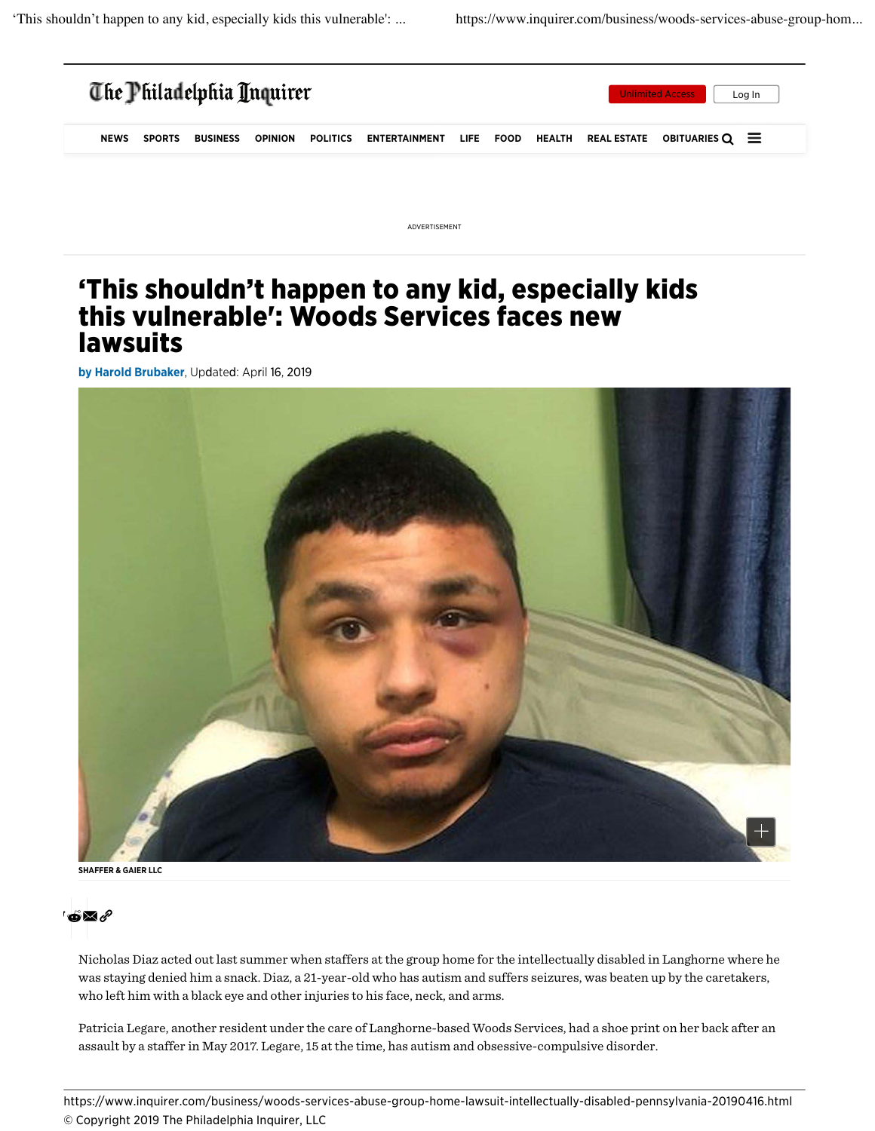

ADVERTISEMENT

## 'This shouldn't happen to any kid, especially kids this vulnerable': Woods Services faces new lawsuits

by Harold Brubaker, Updated: April 16, 2019



SHAFFER & GAIER LLC



Nicholas Diaz acted out last summer when staffers at the group home for the intellectually disabled in Langhorne where he was staying denied him a snack. Diaz, a 21-year-old who has autism and suffers seizures, was beaten up by the caretakers, who left him with a black eye and other injuries to his face, neck, and arms.

Patricia Legare, another resident under the care of Langhorne-based Woods Services, had a shoe print on her back after an assault by a staffer in May 2017. Legare, 15 at the time, has autism and obsessive-compulsive disorder.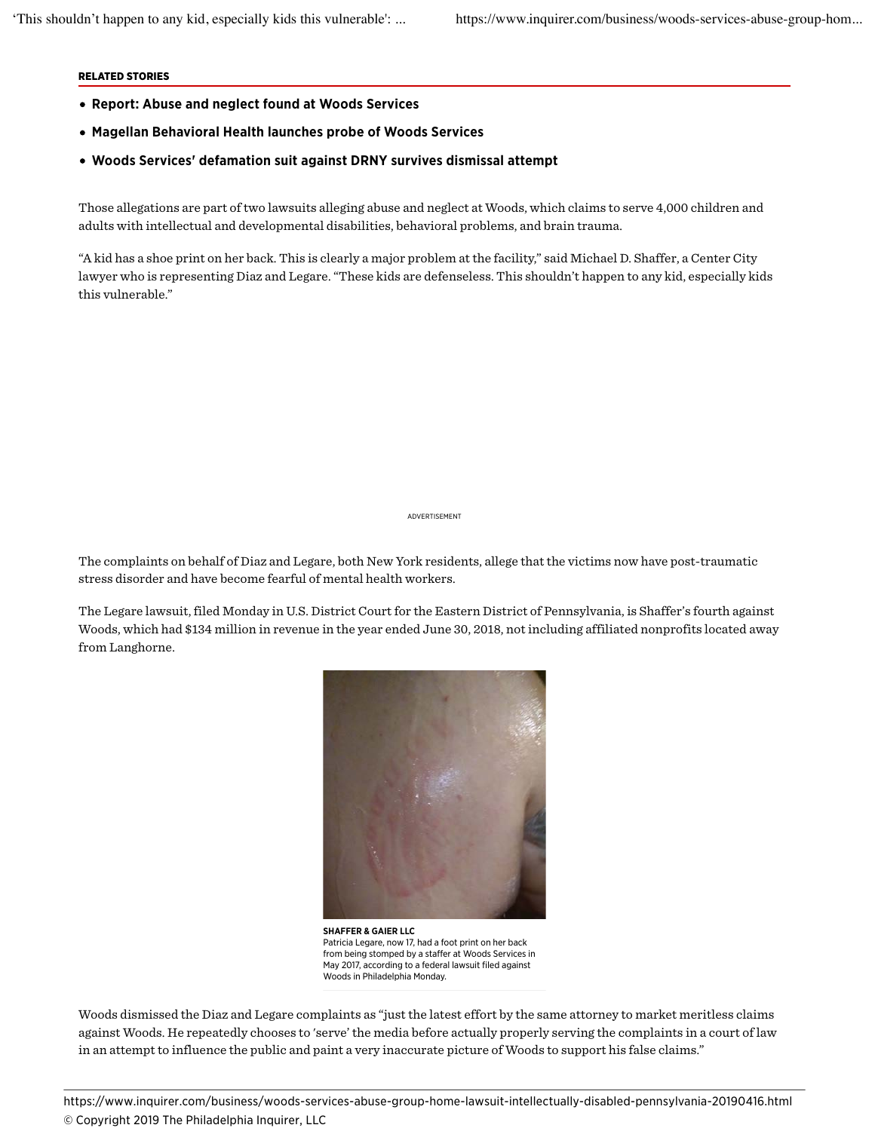## RELATED STORIES

- Report: Abuse and neglect found at Woods Services
- Magellan Behavioral Health launches probe of Woods Services
- Woods Services' defamation suit against DRNY survives dismissal attempt

Those allegations are part of two lawsuits alleging abuse and neglect at Woods, which claims to serve 4,000 children and adults with intellectual and developmental disabilities, behavioral problems, and brain trauma.

"A kid has a shoe print on her back. This is clearly a major problem at the facility," said Michael D. Shaffer, a Center City lawyer who is representing Diaz and Legare. "These kids are defenseless. This shouldn't happen to any kid, especially kids this vulnerable."

ADVERTISEMENT

The complaints on behalf of Diaz and Legare, both New York residents, allege that the victims now have post-traumatic stress disorder and have become fearful of mental health workers.

The Legare lawsuit, filed Monday in U.S. District Court for the Eastern District of Pennsylvania, is Shaffer's fourth against Woods, which had \$134 million in revenue in the year ended June 30, 2018, not including affiliated nonprofits located away from Langhorne.



SHAFFER & GAIER LLC Patricia Legare, now 17, had a foot print on her back from being stomped by a staffer at Woods Services in May 2017, according to a federal lawsuit filed against Woods in Philadelphia Monday.

Woods dismissed the Diaz and Legare complaints as "just the latest effort by the same attorney to market meritless claims against Woods. He repeatedly chooses to 'serve' the media before actually properly serving the complaints in a court of law in an attempt to influence the public and paint a very inaccurate picture of Woods to support his false claims."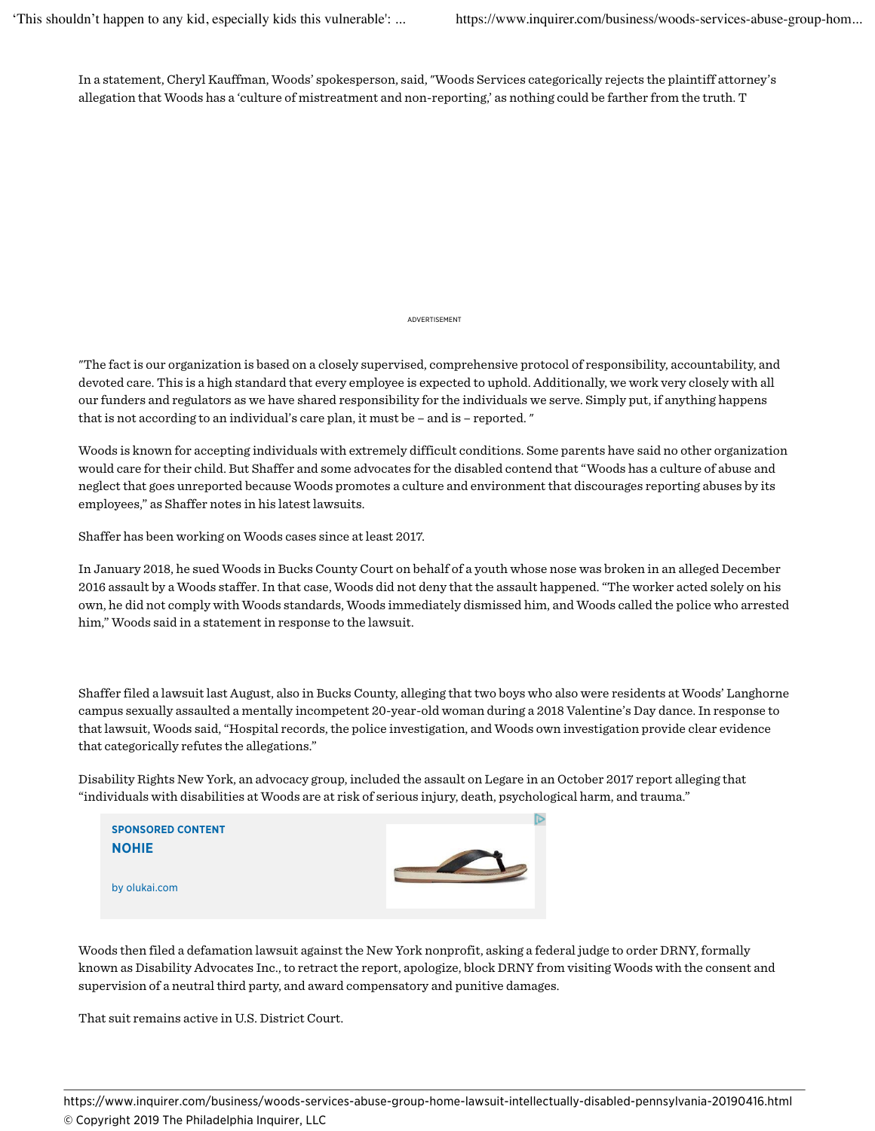In a statement, Cheryl Kauffman, Woods' spokesperson, said, "Woods Services categorically rejects the plaintiff attorney's allegation that Woods has a 'culture of mistreatment and non-reporting,' as nothing could be farther from the truth. T

ADVERTISEMENT

"The fact is our organization is based on a closely supervised, comprehensive protocol of responsibility, accountability, and devoted care. This is a high standard that every employee is expected to uphold. Additionally, we work very closely with all our funders and regulators as we have shared responsibility for the individuals we serve. Simply put, if anything happens that is not according to an individual's care plan, it must be – and is – reported. "

Woods is known for accepting individuals with extremely difficult conditions. Some parents have said no other organization would care for their child. But Shaffer and some advocates for the disabled contend that "Woods has a culture of abuse and neglect that goes unreported because Woods promotes a culture and environment that discourages reporting abuses by its employees," as Shaffer notes in his latest lawsuits.

Shaffer has been working on Woods cases since at least 2017.

In January 2018, he sued Woods in Bucks County Court on behalf of a youth whose nose was broken in an alleged December 2016 assault by a Woods staffer. In that case, Woods did not deny that the assault happened. "The worker acted solely on his own, he did not comply with Woods standards, Woods immediately dismissed him, and Woods called the police who arrested him," Woods said in a statement in response to the lawsuit.

Shaffer filed a lawsuit last August, also in Bucks County, alleging that two boys who also were residents at Woods' Langhorne campus sexually assaulted a mentally incompetent 20-year-old woman during a 2018 Valentine's Day dance. In response to that lawsuit, Woods said, "Hospital records, the police investigation, and Woods own investigation provide clear evidence that categorically refutes the allegations."

Disability Rights New York, an advocacy group, included the assault on Legare in an October 2017 report alleging that "individuals with disabilities at Woods are at risk of serious injury, death, psychological harm, and trauma."



Woods then filed a defamation lawsuit against the New York nonprofit, asking a federal judge to order DRNY, formally known as Disability Advocates Inc., to retract the report, apologize, block DRNY from visiting Woods with the consent and supervision of a neutral third party, and award compensatory and punitive damages.

That suit remains active in U.S. District Court.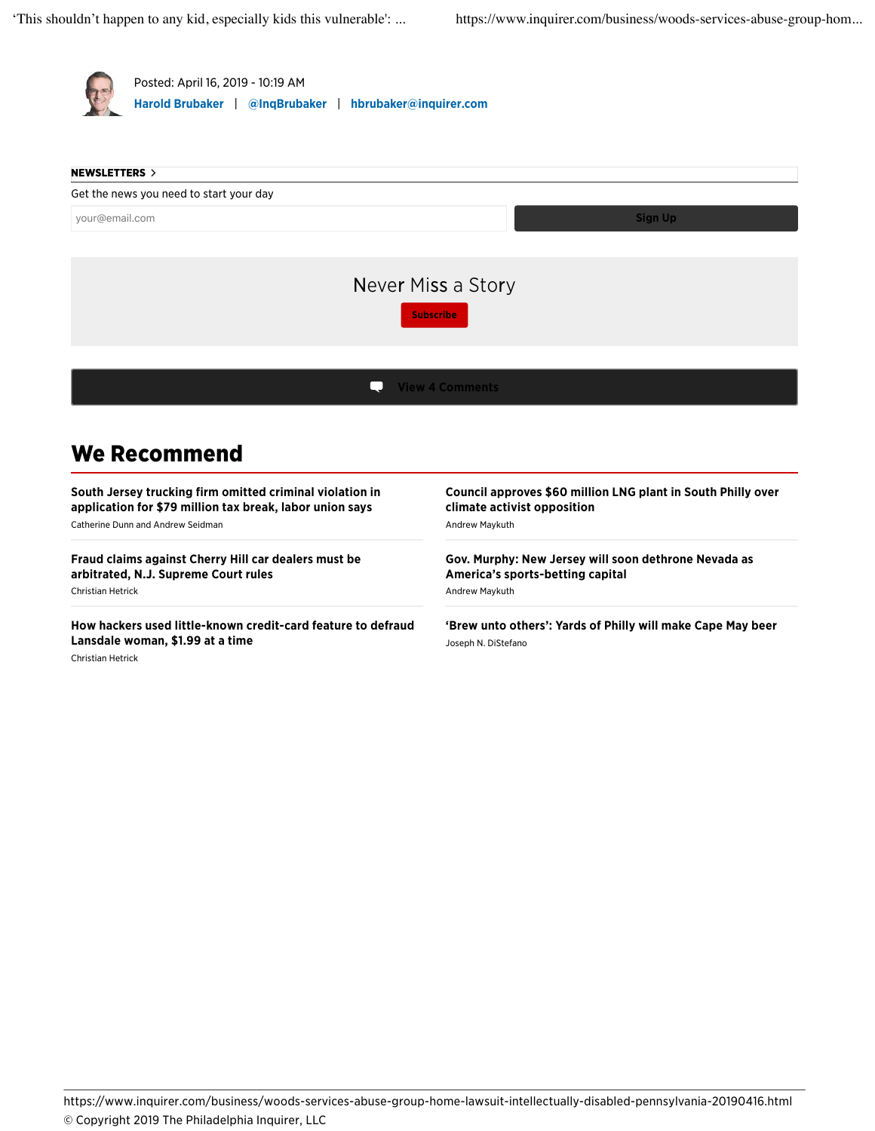

South Jersey trucking firm omitted criminal violation in application for \$79 million tax break, labor union says Catherine Dunn and Andrew Seidman

Fraud claims against Cherry Hill car dealers must be arbitrated, N.J. Supreme Court rules Christian Hetrick

How hackers used little-known credit-card feature to defraud Lansdale woman, \$1.99 at a time Christian Hetrick

## Council approves \$60 million LNG plant in South Philly over climate activist opposition Andrew Maykuth

Gov. Murphy: New Jersey will soon dethrone Nevada as America's sports-betting capital Andrew Maykuth

'Brew unto others': Yards of Philly will make Cape May beer Joseph N. DiStefano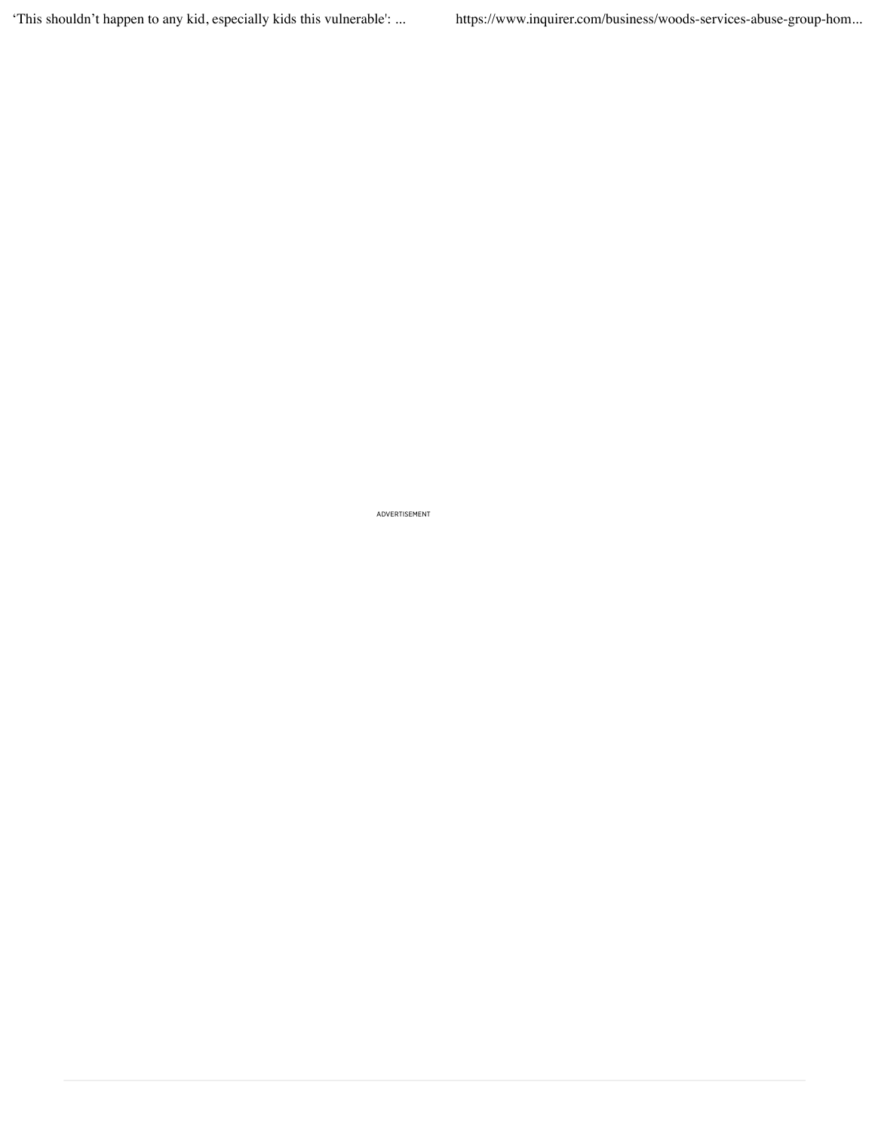'This shouldn't happen to any kid, especially kids this vulnerable': ... https://www.inquirer.com/business/woods-services-abuse-group-hom...

ADVERTISEMENT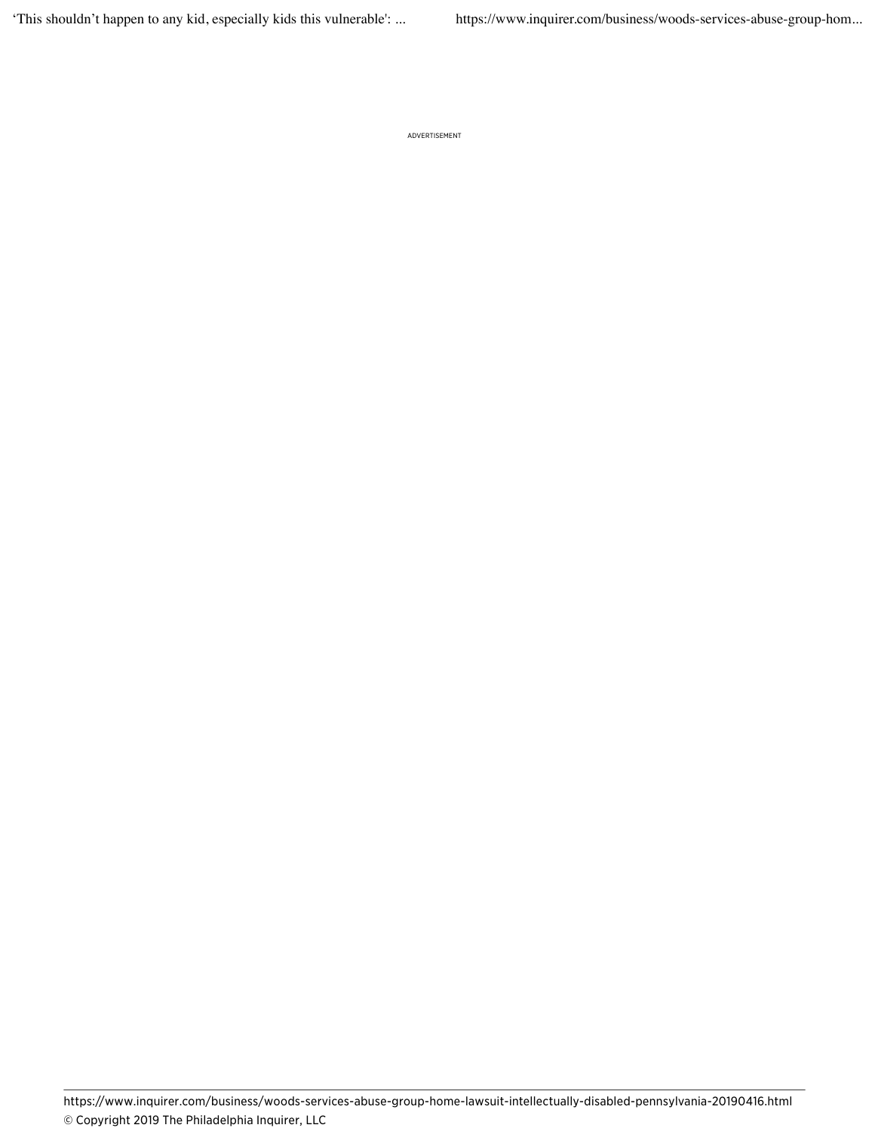ADVERTISEMENT